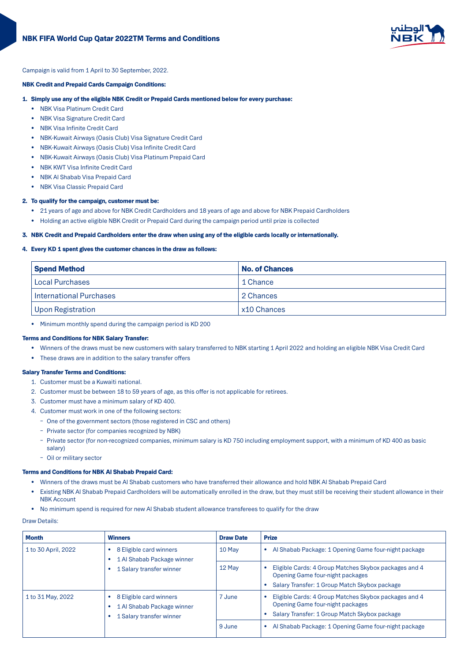

Campaign is valid from 1 April to 30 September, 2022.

# NBK Credit and Prepaid Cards Campaign Conditions:

## 1. Simply use any of the eligible NBK Credit or Prepaid Cards mentioned below for every purchase:

- NBK Visa Platinum Credit Card
- NBK Visa Signature Credit Card
- NBK Visa Infinite Credit Card
- NBK-Kuwait Airways (Oasis Club) Visa Signature Credit Card
- NBK-Kuwait Airways (Oasis Club) Visa Infinite Credit Card
- NBK-Kuwait Airways (Oasis Club) Visa Platinum Prepaid Card
- NBK KWT Visa Infinite Credit Card
- NBK AI Shabab Visa Prepaid Card
- NBK Visa Classic Prepaid Card

# 2. To qualify for the campaign, customer must be:

- 21 years of age and above for NBK Credit Cardholders and 18 years of age and above for NBK Prepaid Cardholders
- Holding an active eligible NBK Credit or Prepaid Card during the campaign period until prize is collected

## 3. NBK Credit and Prepaid Cardholders enter the draw when using any of the eligible cards locally or internationally.

## 4. Every KD 1 spent gives the customer chances in the draw as follows:

| <b>Spend Method</b>            | No. of Chances |  |
|--------------------------------|----------------|--|
| Local Purchases                | 1 Chance       |  |
| <b>International Purchases</b> | 2 Chances      |  |
| <b>Upon Registration</b>       | x10 Chances    |  |

• Minimum monthly spend during the campaign period is KD 200

# Terms and Conditions for NBK Salary Transfer:

- Winners of the draws must be new customers with salary transferred to NBK starting 1 April 2022 and holding an eligible NBK Visa Credit Card
- These draws are in addition to the salary transfer offers

#### **Salary Transfer Terms and Conditions:**

- 1. Customer must be a Kuwaiti national.
- 2. Customer must be between 18 to 59 years of age, as this offer is not applicable for retirees.
- 3. Customer must have a minimum salary of KD 400.
- 4. Customer must work in one of the following sectors:
	- One of the government sectors (those registered in CSC and others)
	- Private sector (for companies recognized by NBK)
	- Private sector (for non-recognized companies, minimum salary is KD 750 including employment support, with a minimum of KD 400 as basic salary)
	- Oil or military sector

## Terms and Conditions for NBK Al Shabab Prepaid Card:

- Winners of the draws must be Al Shabab customers who have transferred their allowance and hold NBK Al Shabab Prepaid Card
- Existing NBK AI Shabab Prepaid Cardholders will be automatically enrolled in the draw, but they must still be receiving their student allowance in their **NBK Account**
- No minimum spend is required for new Al Shabab student allowance transferees to qualify for the draw

## Draw Details:

| <b>Month</b>                                                                                                                    | <b>Winners</b>                                                                         | <b>Draw Date</b>                                     | <b>Prize</b>                                                                                     |
|---------------------------------------------------------------------------------------------------------------------------------|----------------------------------------------------------------------------------------|------------------------------------------------------|--------------------------------------------------------------------------------------------------|
| 8 Eligible card winners<br>1 to 30 April, 2022<br>$\bullet$<br>1 Al Shabab Package winner<br>٠<br>1 Salary transfer winner<br>٠ | 10 May                                                                                 | Al Shabab Package: 1 Opening Game four-night package |                                                                                                  |
|                                                                                                                                 |                                                                                        | 12 May                                               | Eligible Cards: 4 Group Matches Skybox packages and 4<br>Opening Game four-night packages        |
|                                                                                                                                 |                                                                                        |                                                      | Salary Transfer: 1 Group Match Skybox package                                                    |
| 1 to 31 May, 2022                                                                                                               | 8 Eligible card winners<br>٠<br>1 Al Shabab Package winner<br>1 Salary transfer winner | 7 June                                               | Eligible Cards: 4 Group Matches Skybox packages and 4<br><b>Opening Game four-night packages</b> |
|                                                                                                                                 |                                                                                        |                                                      | Salary Transfer: 1 Group Match Skybox package                                                    |
|                                                                                                                                 |                                                                                        | 9 June                                               | Al Shabab Package: 1 Opening Game four-night package                                             |